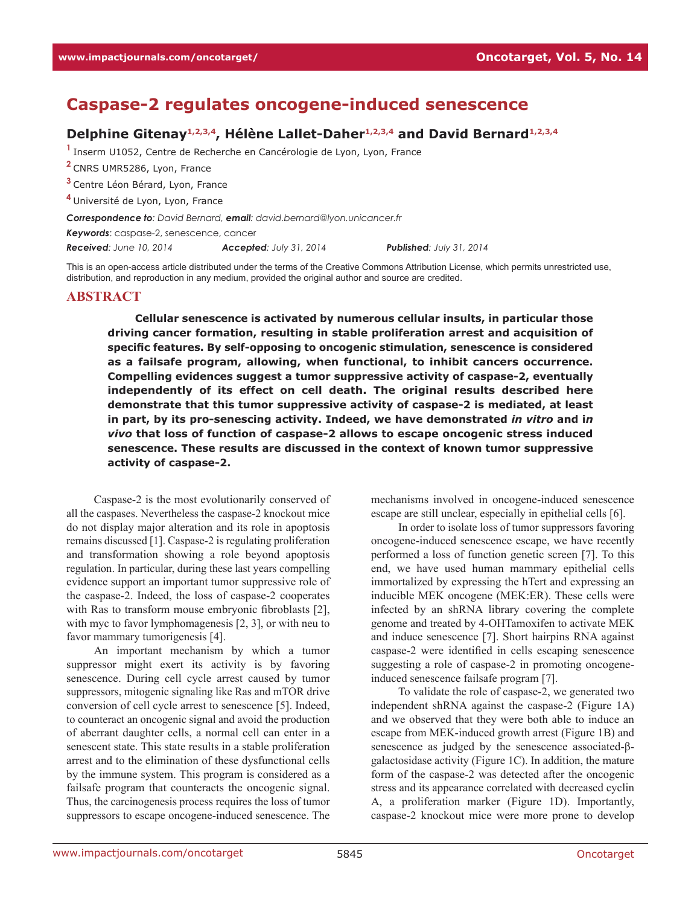# **Caspase-2 regulates oncogene-induced senescence**

## Delphine Gitenay<sup>1,2,3,4</sup>, Hélène Lallet-Daher<sup>1,2,3,4</sup> and David Bernard<sup>1,2,3,4</sup>

**<sup>1</sup>**Inserm U1052, Centre de Recherche en Cancérologie de Lyon, Lyon, France

**<sup>2</sup>**CNRS UMR5286, Lyon, France

**<sup>3</sup>**Centre Léon Bérard, Lyon, France

**<sup>4</sup>**Université de Lyon, Lyon, France

*Correspondence to: David Bernard, email: david.bernard@lyon.unicancer.fr*

*Keywords*: caspase-2, senescence, cancer

*Received: June 10, 2014 Accepted: July 31, 2014 Published: July 31, 2014*

This is an open-access article distributed under the terms of the Creative Commons Attribution License, which permits unrestricted use, distribution, and reproduction in any medium, provided the original author and source are credited.

#### **ABSTRACT**

**Cellular senescence is activated by numerous cellular insults, in particular those driving cancer formation, resulting in stable proliferation arrest and acquisition of specific features. By self-opposing to oncogenic stimulation, senescence is considered as a failsafe program, allowing, when functional, to inhibit cancers occurrence. Compelling evidences suggest a tumor suppressive activity of caspase-2, eventually independently of its effect on cell death. The original results described here demonstrate that this tumor suppressive activity of caspase-2 is mediated, at least in part, by its pro-senescing activity. Indeed, we have demonstrated** *in vitro* **and i***n vivo* **that loss of function of caspase-2 allows to escape oncogenic stress induced senescence. These results are discussed in the context of known tumor suppressive activity of caspase-2.** 

Caspase-2 is the most evolutionarily conserved of all the caspases. Nevertheless the caspase-2 knockout mice do not display major alteration and its role in apoptosis remains discussed [1]. Caspase-2 is regulating proliferation and transformation showing a role beyond apoptosis regulation. In particular, during these last years compelling evidence support an important tumor suppressive role of the caspase-2. Indeed, the loss of caspase-2 cooperates with Ras to transform mouse embryonic fibroblasts [2], with myc to favor lymphomagenesis [2, 3], or with neu to favor mammary tumorigenesis [4].

An important mechanism by which a tumor suppressor might exert its activity is by favoring senescence. During cell cycle arrest caused by tumor suppressors, mitogenic signaling like Ras and mTOR drive conversion of cell cycle arrest to senescence [5]. Indeed, to counteract an oncogenic signal and avoid the production of aberrant daughter cells, a normal cell can enter in a senescent state. This state results in a stable proliferation arrest and to the elimination of these dysfunctional cells by the immune system. This program is considered as a failsafe program that counteracts the oncogenic signal. Thus, the carcinogenesis process requires the loss of tumor suppressors to escape oncogene-induced senescence. The

mechanisms involved in oncogene-induced senescence escape are still unclear, especially in epithelial cells [6].

In order to isolate loss of tumor suppressors favoring oncogene-induced senescence escape, we have recently performed a loss of function genetic screen [7]. To this end, we have used human mammary epithelial cells immortalized by expressing the hTert and expressing an inducible MEK oncogene (MEK:ER). These cells were infected by an shRNA library covering the complete genome and treated by 4-OHTamoxifen to activate MEK and induce senescence [7]. Short hairpins RNA against caspase-2 were identified in cells escaping senescence suggesting a role of caspase-2 in promoting oncogeneinduced senescence failsafe program [7].

To validate the role of caspase-2, we generated two independent shRNA against the caspase-2 (Figure 1A) and we observed that they were both able to induce an escape from MEK-induced growth arrest (Figure 1B) and senescence as judged by the senescence associated-βgalactosidase activity (Figure 1C). In addition, the mature form of the caspase-2 was detected after the oncogenic stress and its appearance correlated with decreased cyclin A, a proliferation marker (Figure 1D). Importantly, caspase-2 knockout mice were more prone to develop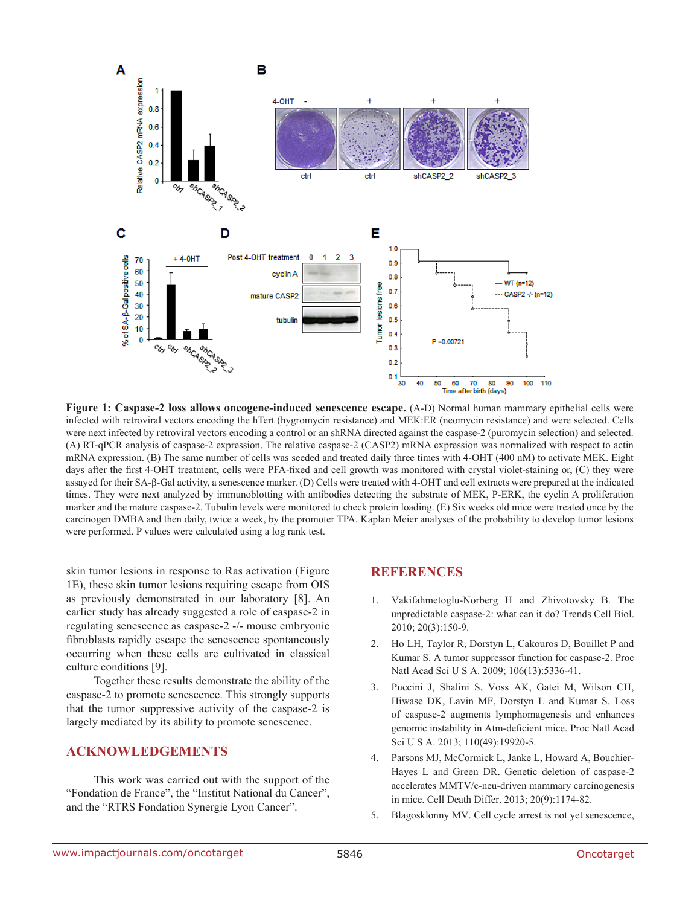

**Figure 1: Caspase-2 loss allows oncogene-induced senescence escape.** (A-D) Normal human mammary epithelial cells were infected with retroviral vectors encoding the hTert (hygromycin resistance) and MEK:ER (neomycin resistance) and were selected. Cells were next infected by retroviral vectors encoding a control or an shRNA directed against the caspase-2 (puromycin selection) and selected. (A) RT-qPCR analysis of caspase-2 expression. The relative caspase-2 (CASP2) mRNA expression was normalized with respect to actin mRNA expression. (B) The same number of cells was seeded and treated daily three times with 4-OHT (400 nM) to activate MEK. Eight days after the first 4-OHT treatment, cells were PFA-fixed and cell growth was monitored with crystal violet-staining or, (C) they were assayed for their SA-β-Gal activity, a senescence marker. (D) Cells were treated with 4-OHT and cell extracts were prepared at the indicated times. They were next analyzed by immunoblotting with antibodies detecting the substrate of MEK, P-ERK, the cyclin A proliferation marker and the mature caspase-2. Tubulin levels were monitored to check protein loading. (E) Six weeks old mice were treated once by the carcinogen DMBA and then daily, twice a week, by the promoter TPA. Kaplan Meier analyses of the probability to develop tumor lesions were performed. P values were calculated using a log rank test.

skin tumor lesions in response to Ras activation (Figure 1E), these skin tumor lesions requiring escape from OIS as previously demonstrated in our laboratory [8]. An earlier study has already suggested a role of caspase-2 in regulating senescence as caspase-2 -/- mouse embryonic fibroblasts rapidly escape the senescence spontaneously occurring when these cells are cultivated in classical culture conditions [9].

Together these results demonstrate the ability of the caspase-2 to promote senescence. This strongly supports that the tumor suppressive activity of the caspase-2 is largely mediated by its ability to promote senescence.

# **ACKNOWLEDGEMENTS**

This work was carried out with the support of the "Fondation de France", the "Institut National du Cancer", and the "RTRS Fondation Synergie Lyon Cancer".

## **REFERENCES**

- 1. Vakifahmetoglu-Norberg H and Zhivotovsky B. The unpredictable caspase-2: what can it do? Trends Cell Biol. 2010; 20(3):150-9.
- 2. Ho LH, Taylor R, Dorstyn L, Cakouros D, Bouillet P and Kumar S. A tumor suppressor function for caspase-2. Proc Natl Acad Sci U S A. 2009; 106(13):5336-41.
- 3. Puccini J, Shalini S, Voss AK, Gatei M, Wilson CH, Hiwase DK, Lavin MF, Dorstyn L and Kumar S. Loss of caspase-2 augments lymphomagenesis and enhances genomic instability in Atm-deficient mice. Proc Natl Acad Sci U S A. 2013; 110(49):19920-5.
- 4. Parsons MJ, McCormick L, Janke L, Howard A, Bouchier-Hayes L and Green DR. Genetic deletion of caspase-2 accelerates MMTV/c-neu-driven mammary carcinogenesis in mice. Cell Death Differ. 2013; 20(9):1174-82.
- 5. Blagosklonny MV. Cell cycle arrest is not yet senescence,